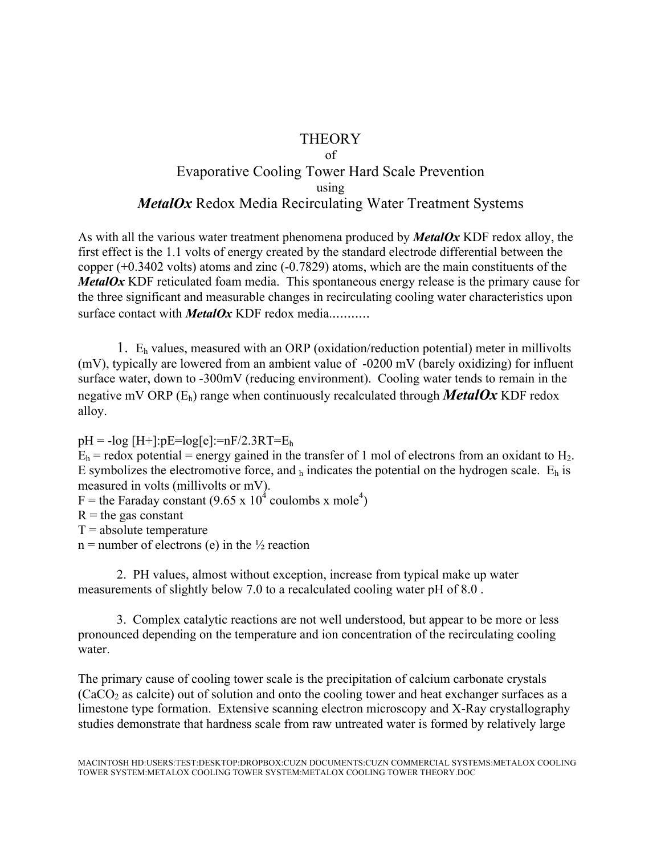## THEORY

## of

## Evaporative Cooling Tower Hard Scale Prevention using *MetalOx* Redox Media Recirculating Water Treatment Systems

As with all the various water treatment phenomena produced by *MetalOx* KDF redox alloy, the first effect is the 1.1 volts of energy created by the standard electrode differential between the copper (+0.3402 volts) atoms and zinc (-0.7829) atoms, which are the main constituents of the *MetalOx* KDF reticulated foam media. This spontaneous energy release is the primary cause for the three significant and measurable changes in recirculating cooling water characteristics upon surface contact with *MetalOx* KDF redox media...........

1.  $E_h$  values, measured with an ORP (oxidation/reduction potential) meter in millivolts (mV), typically are lowered from an ambient value of -0200 mV (barely oxidizing) for influent surface water, down to -300mV (reducing environment). Cooling water tends to remain in the negative mV ORP (Eh) range when continuously recalculated through *MetalOx* KDF redox alloy.

 $pH = -log[H+]:pE=log[e]:=nF/2.3RT=E<sub>h</sub>$ 

 $E_h$  = redox potential = energy gained in the transfer of 1 mol of electrons from an oxidant to  $H_2$ . E symbolizes the electromotive force, and  $<sub>h</sub>$  indicates the potential on the hydrogen scale.  $E<sub>h</sub>$  is</sub> measured in volts (millivolts or mV).

F = the Faraday constant (9.65 x 10<sup>4</sup> coulombs x mole<sup>4</sup>)

 $R =$  the gas constant

 $T = absolute temperature$ 

 $n =$  number of electrons (e) in the  $\frac{1}{2}$  reaction

2. PH values, almost without exception, increase from typical make up water measurements of slightly below 7.0 to a recalculated cooling water pH of 8.0 .

3. Complex catalytic reactions are not well understood, but appear to be more or less pronounced depending on the temperature and ion concentration of the recirculating cooling water

The primary cause of cooling tower scale is the precipitation of calcium carbonate crystals  $(CaCO<sub>2</sub>$  as calcite) out of solution and onto the cooling tower and heat exchanger surfaces as a limestone type formation. Extensive scanning electron microscopy and X-Ray crystallography studies demonstrate that hardness scale from raw untreated water is formed by relatively large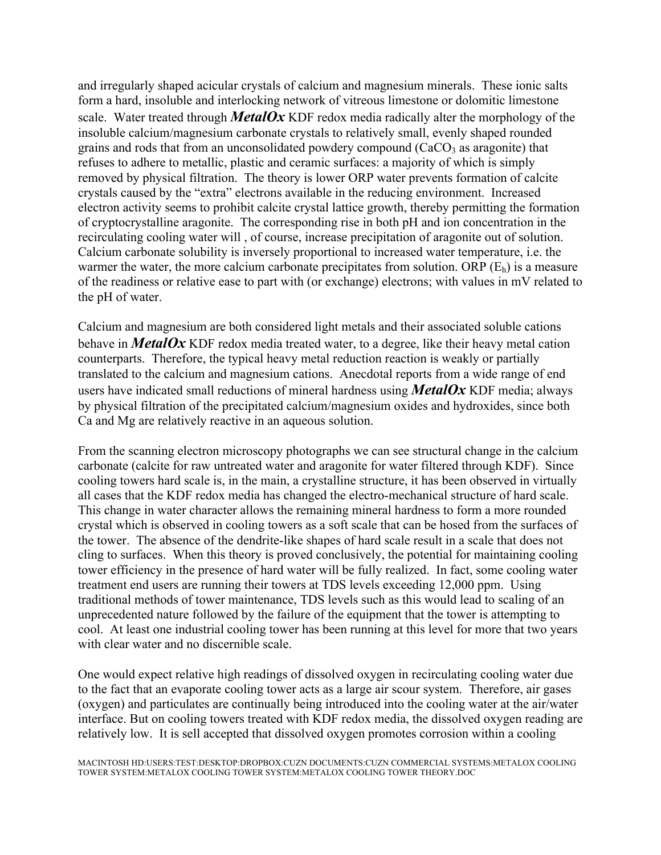and irregularly shaped acicular crystals of calcium and magnesium minerals. These ionic salts form a hard, insoluble and interlocking network of vitreous limestone or dolomitic limestone scale. Water treated through *MetalOx* KDF redox media radically alter the morphology of the insoluble calcium/magnesium carbonate crystals to relatively small, evenly shaped rounded grains and rods that from an unconsolidated powdery compound  $(CaCO<sub>3</sub>$  as aragonite) that refuses to adhere to metallic, plastic and ceramic surfaces: a majority of which is simply removed by physical filtration. The theory is lower ORP water prevents formation of calcite crystals caused by the "extra" electrons available in the reducing environment. Increased electron activity seems to prohibit calcite crystal lattice growth, thereby permitting the formation of cryptocrystalline aragonite. The corresponding rise in both pH and ion concentration in the recirculating cooling water will , of course, increase precipitation of aragonite out of solution. Calcium carbonate solubility is inversely proportional to increased water temperature, i.e. the warmer the water, the more calcium carbonate precipitates from solution. ORP  $(E_h)$  is a measure of the readiness or relative ease to part with (or exchange) electrons; with values in mV related to the pH of water.

Calcium and magnesium are both considered light metals and their associated soluble cations behave in *MetalOx* KDF redox media treated water, to a degree, like their heavy metal cation counterparts. Therefore, the typical heavy metal reduction reaction is weakly or partially translated to the calcium and magnesium cations. Anecdotal reports from a wide range of end users have indicated small reductions of mineral hardness using *MetalOx* KDF media; always by physical filtration of the precipitated calcium/magnesium oxides and hydroxides, since both Ca and Mg are relatively reactive in an aqueous solution.

From the scanning electron microscopy photographs we can see structural change in the calcium carbonate (calcite for raw untreated water and aragonite for water filtered through KDF). Since cooling towers hard scale is, in the main, a crystalline structure, it has been observed in virtually all cases that the KDF redox media has changed the electro-mechanical structure of hard scale. This change in water character allows the remaining mineral hardness to form a more rounded crystal which is observed in cooling towers as a soft scale that can be hosed from the surfaces of the tower. The absence of the dendrite-like shapes of hard scale result in a scale that does not cling to surfaces. When this theory is proved conclusively, the potential for maintaining cooling tower efficiency in the presence of hard water will be fully realized. In fact, some cooling water treatment end users are running their towers at TDS levels exceeding 12,000 ppm. Using traditional methods of tower maintenance, TDS levels such as this would lead to scaling of an unprecedented nature followed by the failure of the equipment that the tower is attempting to cool. At least one industrial cooling tower has been running at this level for more that two years with clear water and no discernible scale.

One would expect relative high readings of dissolved oxygen in recirculating cooling water due to the fact that an evaporate cooling tower acts as a large air scour system. Therefore, air gases (oxygen) and particulates are continually being introduced into the cooling water at the air/water interface. But on cooling towers treated with KDF redox media, the dissolved oxygen reading are relatively low. It is sell accepted that dissolved oxygen promotes corrosion within a cooling